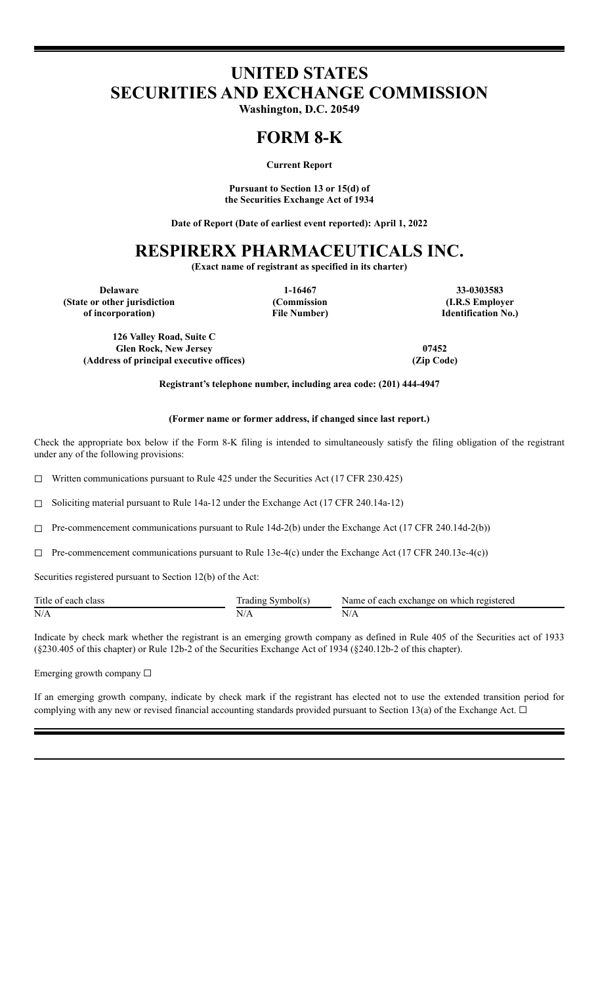# **UNITED STATES SECURITIES AND EXCHANGE COMMISSION**

**Washington, D.C. 20549**

### **FORM 8-K**

**Current Report**

**Pursuant to Section 13 or 15(d) of the Securities Exchange Act of 1934**

**Date of Report (Date of earliest event reported): April 1, 2022**

## **RESPIRERX PHARMACEUTICALS INC.**

**(Exact name of registrant as specified in its charter)**

**(State or other jurisdiction of incorporation)**

**(Commission File Number)**

**Delaware 1-16467 33-0303583 (I.R.S Employer Identification No.)**

**126 Valley Road, Suite C Glen Rock, New Jersey 07452 (Address of principal executive offices) (Zip Code)**

**Registrant's telephone number, including area code: (201) 444-4947**

#### **(Former name or former address, if changed since last report.)**

Check the appropriate box below if the Form 8-K filing is intended to simultaneously satisfy the filing obligation of the registrant under any of the following provisions:

 $\Box$  Written communications pursuant to Rule 425 under the Securities Act (17 CFR 230.425)

☐ Soliciting material pursuant to Rule 14a-12 under the Exchange Act (17 CFR 240.14a-12)

 $\Box$  Pre-commencement communications pursuant to Rule 14d-2(b) under the Exchange Act (17 CFR 240.14d-2(b))

 $\Box$  Pre-commencement communications pursuant to Rule 13e-4(c) under the Exchange Act (17 CFR 240.13e-4(c))

Securities registered pursuant to Section 12(b) of the Act:

| Title of each class | Trading Symbol(s) | Name of each exchange on which registered |
|---------------------|-------------------|-------------------------------------------|
| N/A                 |                   | N/t                                       |

Indicate by check mark whether the registrant is an emerging growth company as defined in Rule 405 of the Securities act of 1933 (§230.405 of this chapter) or Rule 12b-2 of the Securities Exchange Act of 1934 (§240.12b-2 of this chapter).

Emerging growth company ☐

If an emerging growth company, indicate by check mark if the registrant has elected not to use the extended transition period for complying with any new or revised financial accounting standards provided pursuant to Section 13(a) of the Exchange Act.  $\Box$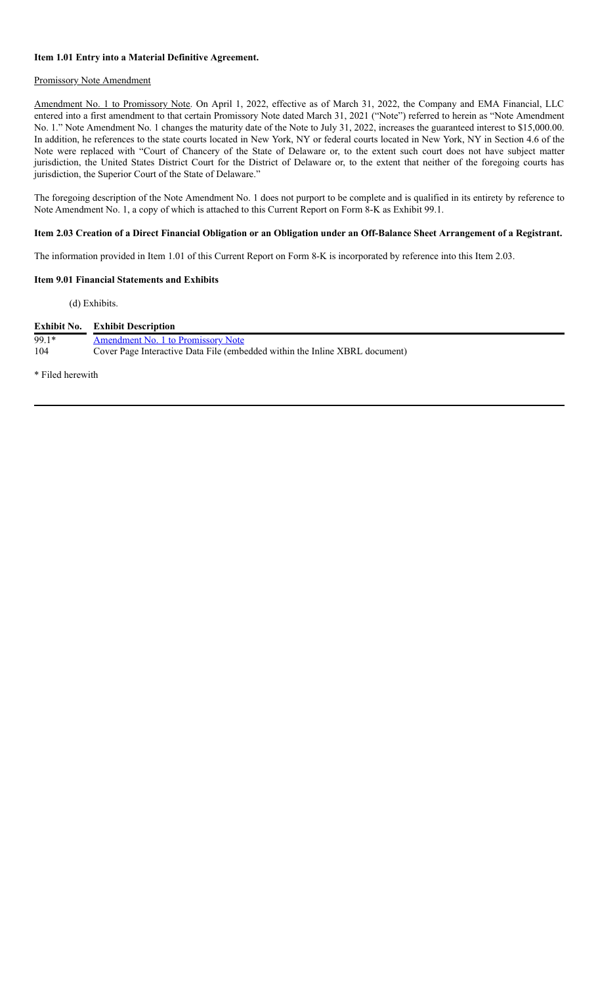#### **Item 1.01 Entry into a Material Definitive Agreement.**

#### Promissory Note Amendment

Amendment No. 1 to Promissory Note. On April 1, 2022, effective as of March 31, 2022, the Company and EMA Financial, LLC entered into a first amendment to that certain Promissory Note dated March 31, 2021 ("Note") referred to herein as "Note Amendment No. 1." Note Amendment No. 1 changes the maturity date of the Note to July 31, 2022, increases the guaranteed interest to \$15,000.00. In addition, he references to the state courts located in New York, NY or federal courts located in New York, NY in Section 4.6 of the Note were replaced with "Court of Chancery of the State of Delaware or, to the extent such court does not have subject matter jurisdiction, the United States District Court for the District of Delaware or, to the extent that neither of the foregoing courts has jurisdiction, the Superior Court of the State of Delaware."

The foregoing description of the Note Amendment No. 1 does not purport to be complete and is qualified in its entirety by reference to Note Amendment No. 1, a copy of which is attached to this Current Report on Form 8-K as Exhibit 99.1.

#### Item 2.03 Creation of a Direct Financial Obligation or an Obligation under an Off-Balance Sheet Arrangement of a Registrant.

The information provided in Item 1.01 of this Current Report on Form 8-K is incorporated by reference into this Item 2.03.

#### **Item 9.01 Financial Statements and Exhibits**

(d) Exhibits.

|         | <b>Exhibit No.</b> Exhibit Description                                      |
|---------|-----------------------------------------------------------------------------|
| $99.1*$ | Amendment No. 1 to Promissory Note                                          |
| 104     | Cover Page Interactive Data File (embedded within the Inline XBRL document) |

\* Filed herewith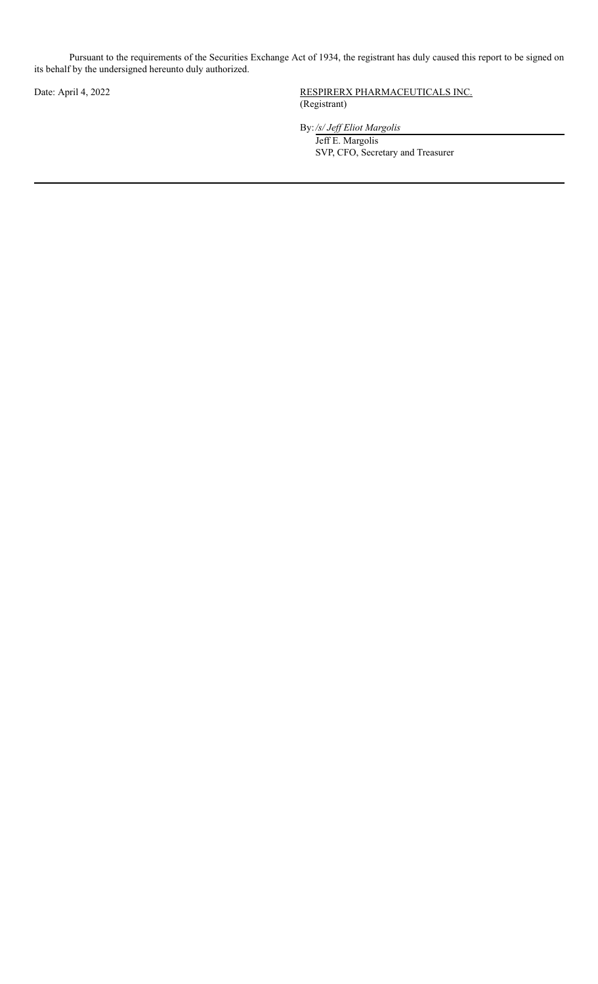Pursuant to the requirements of the Securities Exchange Act of 1934, the registrant has duly caused this report to be signed on its behalf by the undersigned hereunto duly authorized.

Date: April 4, 2022 RESPIRERX PHARMACEUTICALS INC. (Registrant)

By:*/s/ Jef Eliot Margolis*

Jeff E. Margolis SVP, CFO, Secretary and Treasurer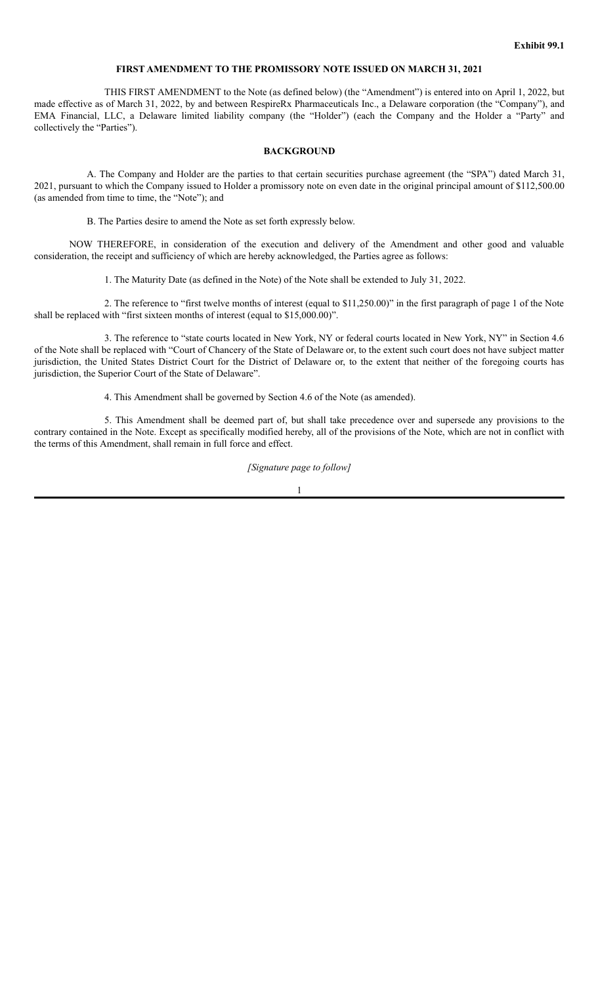#### **FIRST AMENDMENT TO THE PROMISSORY NOTE ISSUED ON MARCH 31, 2021**

THIS FIRST AMENDMENT to the Note (as defined below) (the "Amendment") is entered into on April 1, 2022, but made effective as of March 31, 2022, by and between RespireRx Pharmaceuticals Inc., a Delaware corporation (the "Company"), and EMA Financial, LLC, a Delaware limited liability company (the "Holder") (each the Company and the Holder a "Party" and collectively the "Parties").

#### **BACKGROUND**

A. The Company and Holder are the parties to that certain securities purchase agreement (the "SPA") dated March 31, 2021, pursuant to which the Company issued to Holder a promissory note on even date in the original principal amount of \$112,500.00 (as amended from time to time, the "Note"); and

B. The Parties desire to amend the Note as set forth expressly below.

NOW THEREFORE, in consideration of the execution and delivery of the Amendment and other good and valuable consideration, the receipt and sufficiency of which are hereby acknowledged, the Parties agree as follows:

1. The Maturity Date (as defined in the Note) of the Note shall be extended to July 31, 2022.

2. The reference to "first twelve months of interest (equal to \$11,250.00)" in the first paragraph of page 1 of the Note shall be replaced with "first sixteen months of interest (equal to \$15,000.00)".

3. The reference to "state courts located in New York, NY or federal courts located in New York, NY" in Section 4.6 of the Note shall be replaced with "Court of Chancery of the State of Delaware or, to the extent such court does not have subject matter jurisdiction, the United States District Court for the District of Delaware or, to the extent that neither of the foregoing courts has jurisdiction, the Superior Court of the State of Delaware".

4. This Amendment shall be governed by Section 4.6 of the Note (as amended).

5. This Amendment shall be deemed part of, but shall take precedence over and supersede any provisions to the contrary contained in the Note. Except as specifically modified hereby, all of the provisions of the Note, which are not in conflict with the terms of this Amendment, shall remain in full force and effect.

### *[Signature page to follow]*

1